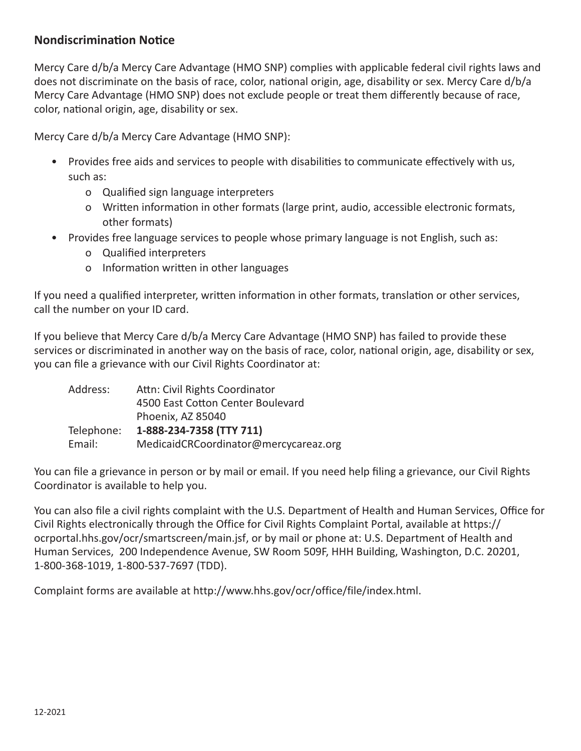## **Nondiscrimination Notice**

Mercy Care d/b/a Mercy Care Advantage (HMO SNP) complies with applicable federal civil rights laws and does not discriminate on the basis of race, color, national origin, age, disability or sex. Mercy Care d/b/a Mercy Care Advantage (HMO SNP) does not exclude people or treat them differently because of race, color, national origin, age, disability or sex.

Mercy Care d/b/a Mercy Care Advantage (HMO SNP):

- Provides free aids and services to people with disabilities to communicate effectively with us, such as:
	- o Qualified sign language interpreters
	- o Written information in other formats (large print, audio, accessible electronic formats, other formats)
- Provides free language services to people whose primary language is not English, such as:
	- o Qualified interpreters
	- o Information written in other languages

If you need a qualified interpreter, written information in other formats, translation or other services, call the number on your ID card.

If you believe that Mercy Care d/b/a Mercy Care Advantage (HMO SNP) has failed to provide these services or discriminated in another way on the basis of race, color, national origin, age, disability or sex, you can file a grievance with our Civil Rights Coordinator at:

| Address:   | Attn: Civil Rights Coordinator        |
|------------|---------------------------------------|
|            | 4500 East Cotton Center Boulevard     |
|            | Phoenix, AZ 85040                     |
| Telephone: | 1-888-234-7358 (TTY 711)              |
| Email:     | MedicaidCRCoordinator@mercycareaz.org |

You can file a grievance in person or by mail or email. If you need help filing a grievance, our Civil Rights Coordinator is available to help you.

You can also file a civil rights complaint with the U.S. Department of Health and Human Services, Office for Civil Rights electronically through the Office for Civil Rights Complaint Portal, available at [https://](https://ocrportal.hhs.gov/ocr/smartscreen/main.jsf) [ocrportal.hhs.gov/ocr/](https://ocrportal.hhs.gov/ocr/smartscreen/main.jsf)smartscreen/main.jsf, or by mail or phone at: U.S. Department of Health and Human Services, 200 Independence Avenue, SW Room 509F, HHH Building, Washington, D.C. 20201, 1-800-368-1019, 1-800-537-7697 (TDD).

Complaint forms are available at [http://www.hhs.gov/ocr/office/file/index.html.](http://www.hhs.gov/ocr/office/file/index.html)